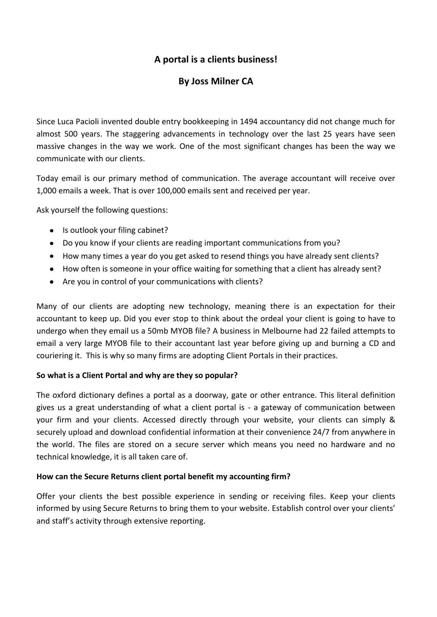## **A portal is a clients business!**

## **By Joss Milner CA**

Since Luca Pacioli invented double entry bookkeeping in 1494 accountancy did not change much for almost 500 years. The staggering advancements in technology over the last 25 years have seen massive changes in the way we work. One of the most significant changes has been the way we communicate with our clients.

Today email is our primary method of communication. The average accountant will receive over 1,000 emails a week. That is over 100,000 emails sent and received per year.

Ask yourself the following questions:

- Is outlook your filing cabinet?
- Do you know if your clients are reading important communications from you?
- How many times a year do you get asked to resend things you have already sent clients?
- How often is someone in your office waiting for something that a client has already sent?
- Are you in control of your communications with clients?

Many of our clients are adopting new technology, meaning there is an expectation for their accountant to keep up. Did you ever stop to think about the ordeal your client is going to have to undergo when they email us a 50mb MYOB file? A business in Melbourne had 22 failed attempts to email a very large MYOB file to their accountant last year before giving up and burning a CD and couriering it. This is why so many firms are adopting Client Portals in their practices.

## **So what is a Client Portal and why are they so popular?**

The oxford dictionary defines a portal as a doorway, gate or other entrance. This literal definition gives us a great understanding of what a client portal is - a gateway of communication between your firm and your clients. Accessed directly through your website, your clients can simply & securely upload and download confidential information at their convenience 24/7 from anywhere in the world. The files are stored on a secure server which means you need no hardware and no technical knowledge, it is all taken care of.

## **How can the Secure Returns client portal benefit my accounting firm?**

Offer your clients the best possible experience in sending or receiving files. Keep your clients informed by using Secure Returns to bring them to your website. Establish control over your clients' and staff's activity through extensive reporting.